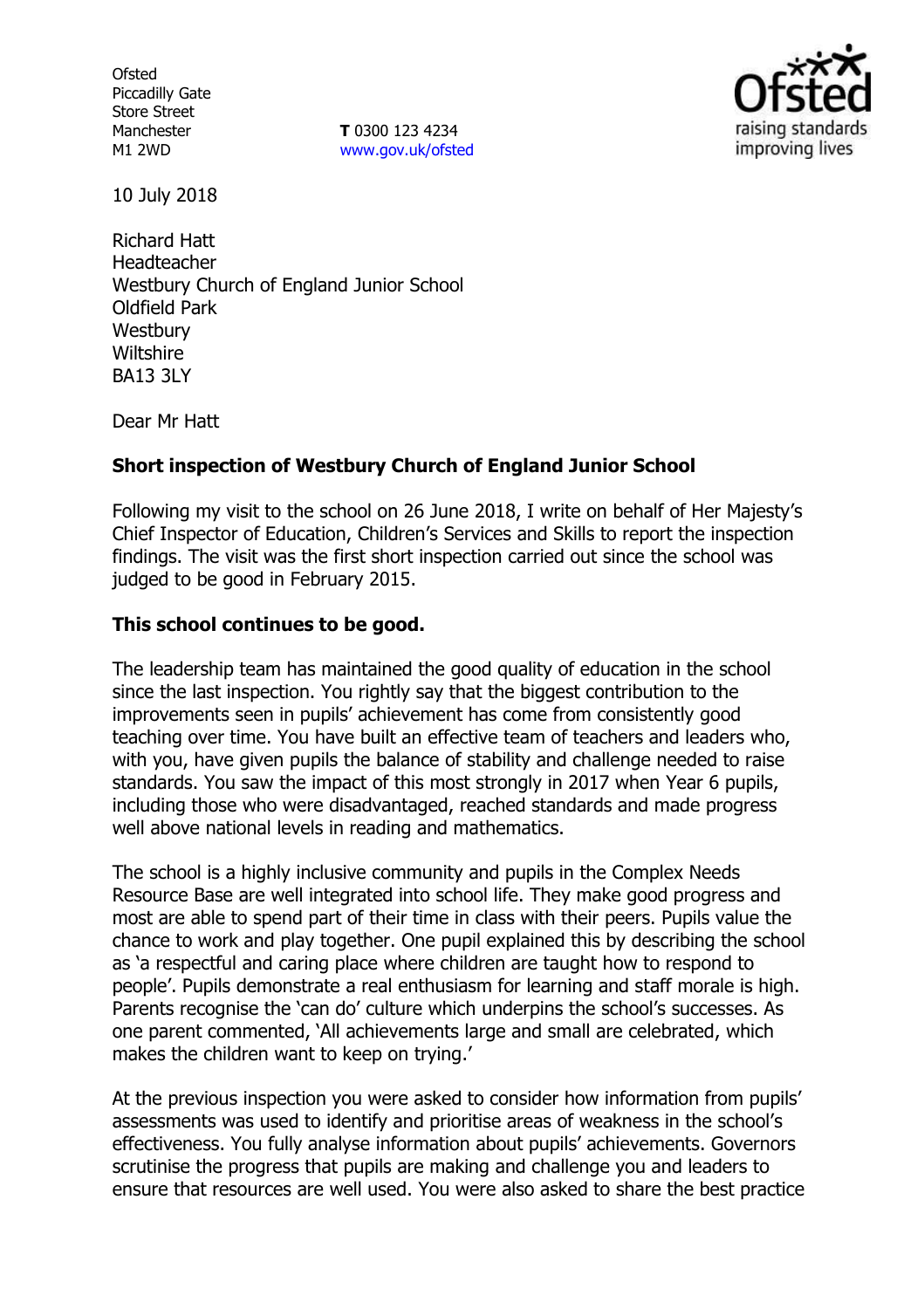**Ofsted** Piccadilly Gate Store Street Manchester M1 2WD

**T** 0300 123 4234 www.gov.uk/ofsted



10 July 2018

Richard Hatt Headteacher Westbury Church of England Junior School Oldfield Park **Westbury Wiltshire** BA13 3LY

Dear Mr Hatt

## **Short inspection of Westbury Church of England Junior School**

Following my visit to the school on 26 June 2018, I write on behalf of Her Majesty's Chief Inspector of Education, Children's Services and Skills to report the inspection findings. The visit was the first short inspection carried out since the school was judged to be good in February 2015.

#### **This school continues to be good.**

The leadership team has maintained the good quality of education in the school since the last inspection. You rightly say that the biggest contribution to the improvements seen in pupils' achievement has come from consistently good teaching over time. You have built an effective team of teachers and leaders who, with you, have given pupils the balance of stability and challenge needed to raise standards. You saw the impact of this most strongly in 2017 when Year 6 pupils, including those who were disadvantaged, reached standards and made progress well above national levels in reading and mathematics.

The school is a highly inclusive community and pupils in the Complex Needs Resource Base are well integrated into school life. They make good progress and most are able to spend part of their time in class with their peers. Pupils value the chance to work and play together. One pupil explained this by describing the school as 'a respectful and caring place where children are taught how to respond to people'. Pupils demonstrate a real enthusiasm for learning and staff morale is high. Parents recognise the 'can do' culture which underpins the school's successes. As one parent commented, 'All achievements large and small are celebrated, which makes the children want to keep on trying.'

At the previous inspection you were asked to consider how information from pupils' assessments was used to identify and prioritise areas of weakness in the school's effectiveness. You fully analyse information about pupils' achievements. Governors scrutinise the progress that pupils are making and challenge you and leaders to ensure that resources are well used. You were also asked to share the best practice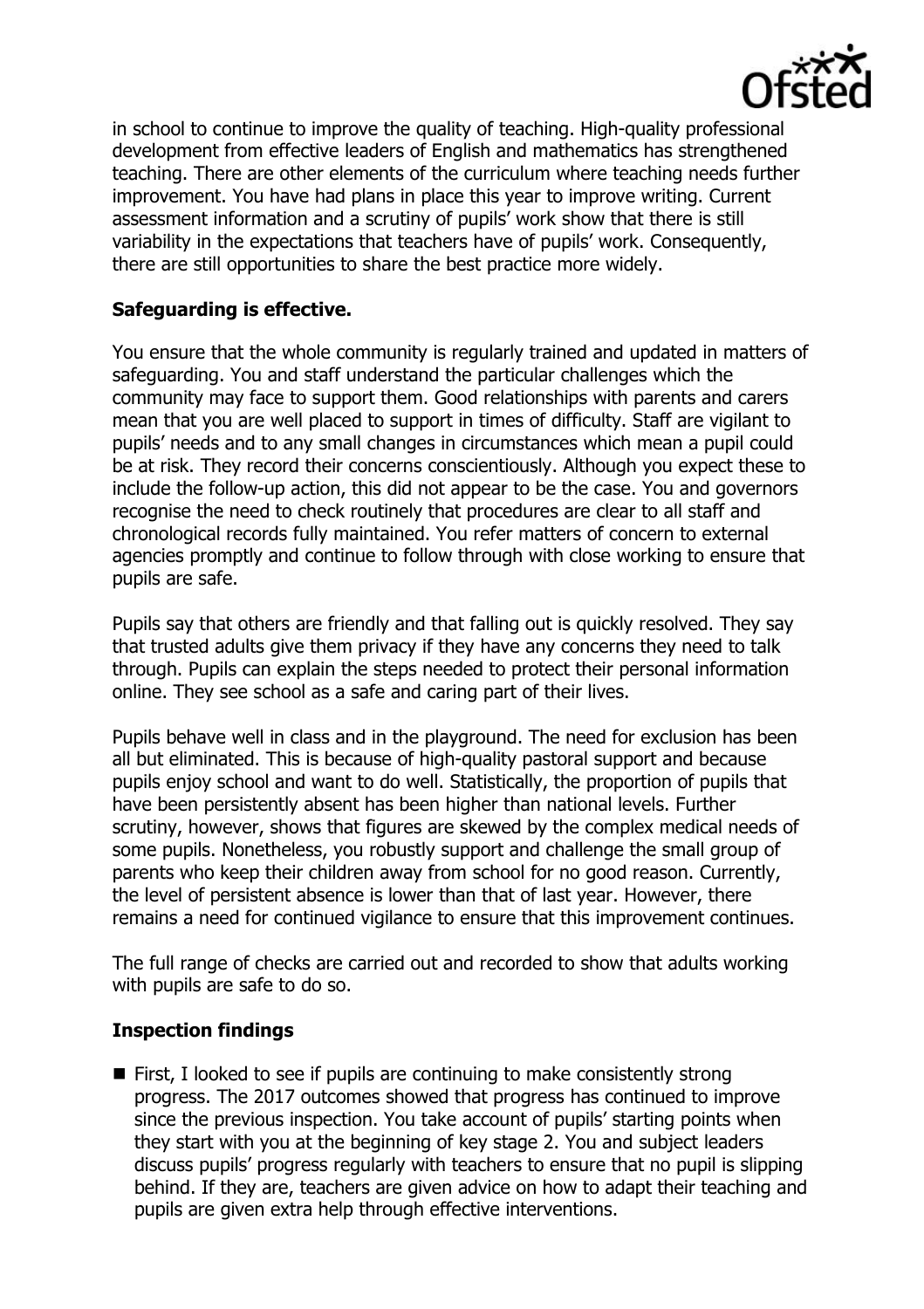

in school to continue to improve the quality of teaching. High-quality professional development from effective leaders of English and mathematics has strengthened teaching. There are other elements of the curriculum where teaching needs further improvement. You have had plans in place this year to improve writing. Current assessment information and a scrutiny of pupils' work show that there is still variability in the expectations that teachers have of pupils' work. Consequently, there are still opportunities to share the best practice more widely.

# **Safeguarding is effective.**

You ensure that the whole community is regularly trained and updated in matters of safeguarding. You and staff understand the particular challenges which the community may face to support them. Good relationships with parents and carers mean that you are well placed to support in times of difficulty. Staff are vigilant to pupils' needs and to any small changes in circumstances which mean a pupil could be at risk. They record their concerns conscientiously. Although you expect these to include the follow-up action, this did not appear to be the case. You and governors recognise the need to check routinely that procedures are clear to all staff and chronological records fully maintained. You refer matters of concern to external agencies promptly and continue to follow through with close working to ensure that pupils are safe.

Pupils say that others are friendly and that falling out is quickly resolved. They say that trusted adults give them privacy if they have any concerns they need to talk through. Pupils can explain the steps needed to protect their personal information online. They see school as a safe and caring part of their lives.

Pupils behave well in class and in the playground. The need for exclusion has been all but eliminated. This is because of high-quality pastoral support and because pupils enjoy school and want to do well. Statistically, the proportion of pupils that have been persistently absent has been higher than national levels. Further scrutiny, however, shows that figures are skewed by the complex medical needs of some pupils. Nonetheless, you robustly support and challenge the small group of parents who keep their children away from school for no good reason. Currently, the level of persistent absence is lower than that of last year. However, there remains a need for continued vigilance to ensure that this improvement continues.

The full range of checks are carried out and recorded to show that adults working with pupils are safe to do so.

# **Inspection findings**

■ First, I looked to see if pupils are continuing to make consistently strong progress. The 2017 outcomes showed that progress has continued to improve since the previous inspection. You take account of pupils' starting points when they start with you at the beginning of key stage 2. You and subject leaders discuss pupils' progress regularly with teachers to ensure that no pupil is slipping behind. If they are, teachers are given advice on how to adapt their teaching and pupils are given extra help through effective interventions.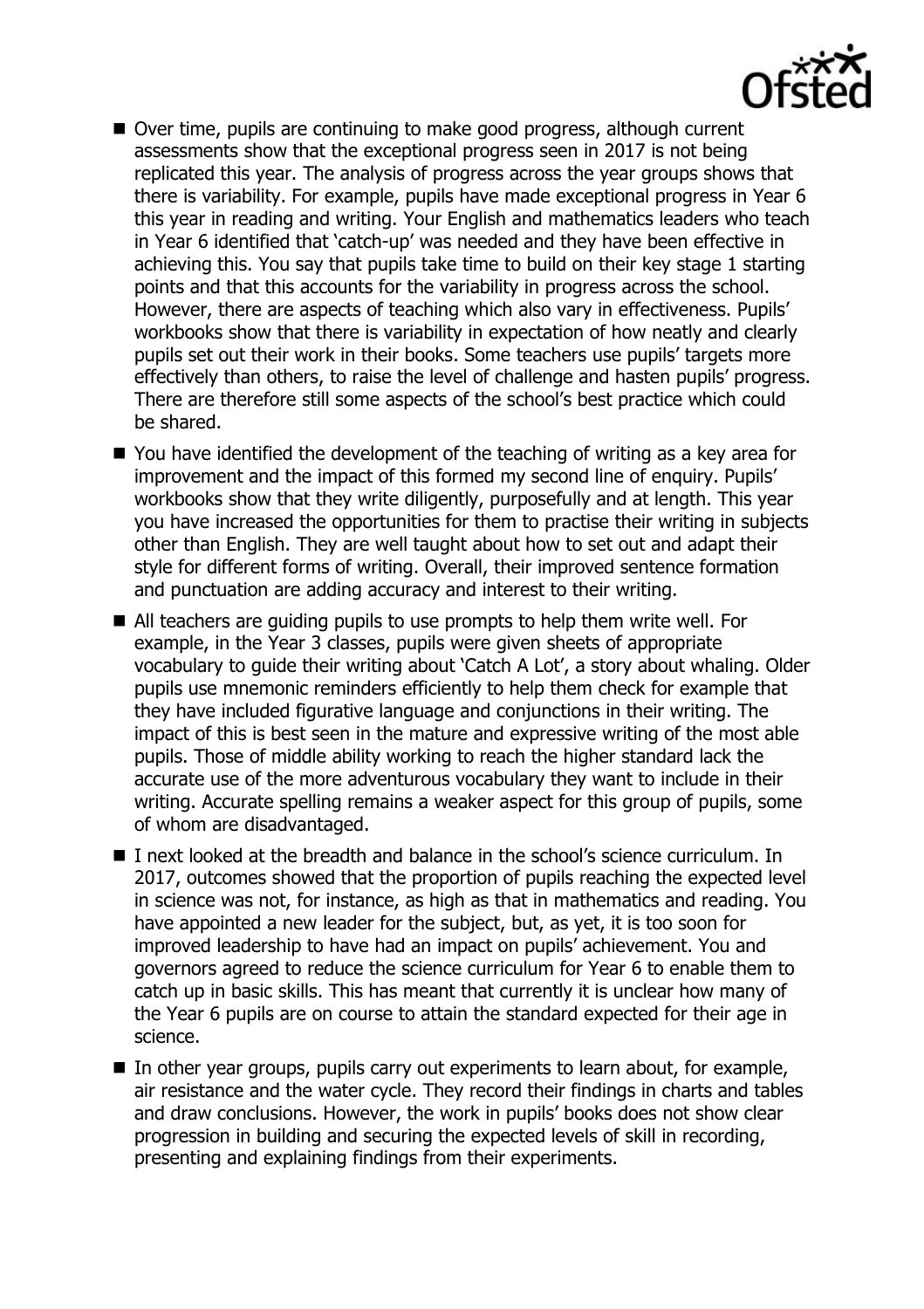

- Over time, pupils are continuing to make good progress, although current assessments show that the exceptional progress seen in 2017 is not being replicated this year. The analysis of progress across the year groups shows that there is variability. For example, pupils have made exceptional progress in Year 6 this year in reading and writing. Your English and mathematics leaders who teach in Year 6 identified that 'catch-up' was needed and they have been effective in achieving this. You say that pupils take time to build on their key stage 1 starting points and that this accounts for the variability in progress across the school. However, there are aspects of teaching which also vary in effectiveness. Pupils' workbooks show that there is variability in expectation of how neatly and clearly pupils set out their work in their books. Some teachers use pupils' targets more effectively than others, to raise the level of challenge and hasten pupils' progress. There are therefore still some aspects of the school's best practice which could be shared.
- You have identified the development of the teaching of writing as a key area for improvement and the impact of this formed my second line of enquiry. Pupils' workbooks show that they write diligently, purposefully and at length. This year you have increased the opportunities for them to practise their writing in subjects other than English. They are well taught about how to set out and adapt their style for different forms of writing. Overall, their improved sentence formation and punctuation are adding accuracy and interest to their writing.
- All teachers are guiding pupils to use prompts to help them write well. For example, in the Year 3 classes, pupils were given sheets of appropriate vocabulary to guide their writing about 'Catch A Lot', a story about whaling. Older pupils use mnemonic reminders efficiently to help them check for example that they have included figurative language and conjunctions in their writing. The impact of this is best seen in the mature and expressive writing of the most able pupils. Those of middle ability working to reach the higher standard lack the accurate use of the more adventurous vocabulary they want to include in their writing. Accurate spelling remains a weaker aspect for this group of pupils, some of whom are disadvantaged.
- I next looked at the breadth and balance in the school's science curriculum. In 2017, outcomes showed that the proportion of pupils reaching the expected level in science was not, for instance, as high as that in mathematics and reading. You have appointed a new leader for the subject, but, as yet, it is too soon for improved leadership to have had an impact on pupils' achievement. You and governors agreed to reduce the science curriculum for Year 6 to enable them to catch up in basic skills. This has meant that currently it is unclear how many of the Year 6 pupils are on course to attain the standard expected for their age in science.
- $\blacksquare$  In other year groups, pupils carry out experiments to learn about, for example, air resistance and the water cycle. They record their findings in charts and tables and draw conclusions. However, the work in pupils' books does not show clear progression in building and securing the expected levels of skill in recording, presenting and explaining findings from their experiments.